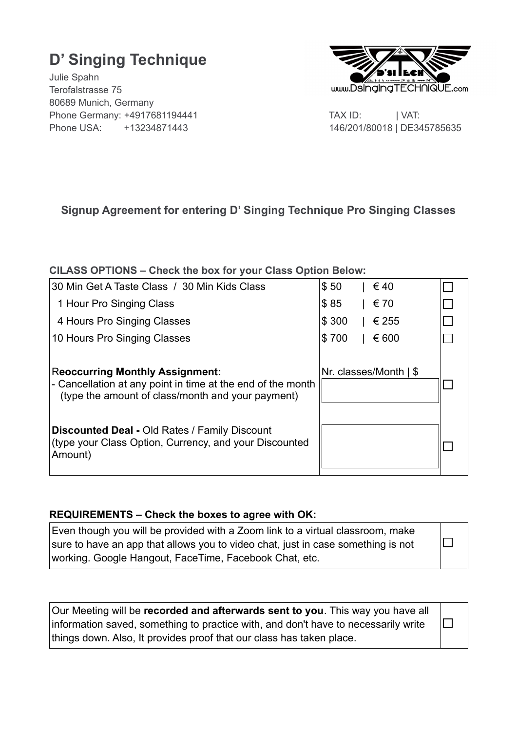# **D' Singing Technique**

Julie Spahn Terofalstrasse 75 80689 Munich, Germany Phone Germany: +4917681194441 TAX ID: | VAT: Phone USA: +13234871443146/201/80018 | DE345785635



 $\Box$ 

# **Signup Agreement for entering D' Singing Technique Pro Singing Classes**

# **ClLASS OPTIONS – Check the box for your Class Option Below:**

| 30 Min Get A Taste Class / 30 Min Kids Class                                                                                                               | \$50<br>€40                     |  |
|------------------------------------------------------------------------------------------------------------------------------------------------------------|---------------------------------|--|
| 1 Hour Pro Singing Class                                                                                                                                   | \$85<br>€ 70                    |  |
| 4 Hours Pro Singing Classes                                                                                                                                | \$300<br>€ 255                  |  |
| 10 Hours Pro Singing Classes                                                                                                                               | \$700<br>€ 600                  |  |
| <b>Reoccurring Monthly Assignment:</b><br>- Cancellation at any point in time at the end of the month<br>(type the amount of class/month and your payment) | Nr. classes/Month $\frac{1}{5}$ |  |
| <b>Discounted Deal - Old Rates / Family Discount</b><br>(type your Class Option, Currency, and your Discounted<br>Amount)                                  |                                 |  |

#### **REQUIREMENTS – Check the boxes to agree with OK:**

| Even though you will be provided with a Zoom link to a virtual classroom, make   |
|----------------------------------------------------------------------------------|
| sure to have an app that allows you to video chat, just in case something is not |
| working. Google Hangout, FaceTime, Facebook Chat, etc.                           |

| Our Meeting will be recorded and afterwards sent to you. This way you have all     |        |  |
|------------------------------------------------------------------------------------|--------|--|
| information saved, something to practice with, and don't have to necessarily write | $\Box$ |  |
| things down. Also, It provides proof that our class has taken place.               |        |  |